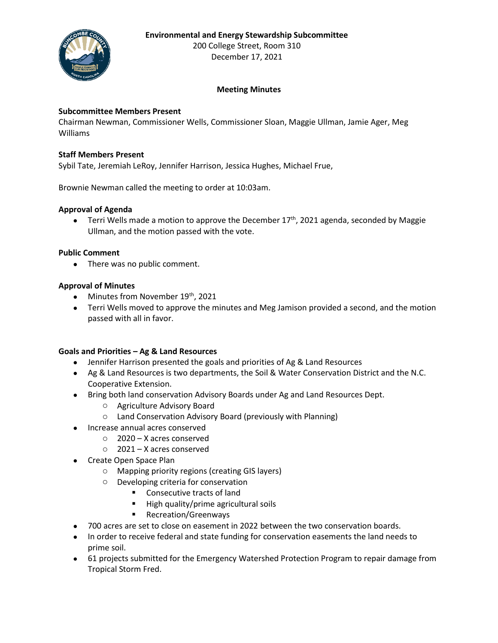## **Environmental and Energy Stewardship Subcommittee**



200 College Street, Room 310 December 17, 2021

# **Meeting Minutes**

### **Subcommittee Members Present**

Chairman Newman, Commissioner Wells, Commissioner Sloan, Maggie Ullman, Jamie Ager, Meg Williams

### **Staff Members Present**

Sybil Tate, Jeremiah LeRoy, Jennifer Harrison, Jessica Hughes, Michael Frue,

Brownie Newman called the meeting to order at 10:03am.

### **Approval of Agenda**

• Terri Wells made a motion to approve the December  $17<sup>th</sup>$ , 2021 agenda, seconded by Maggie Ullman, and the motion passed with the vote.

### **Public Comment**

• There was no public comment.

### **Approval of Minutes**

- Minutes from November 19<sup>th</sup>, 2021
- Terri Wells moved to approve the minutes and Meg Jamison provided a second, and the motion passed with all in favor.

#### **Goals and Priorities – Ag & Land Resources**

- Jennifer Harrison presented the goals and priorities of Ag & Land Resources
- Ag & Land Resources is two departments, the Soil & Water Conservation District and the N.C. Cooperative Extension.
- Bring both land conservation Advisory Boards under Ag and Land Resources Dept.
	- o Agriculture Advisory Board
	- o Land Conservation Advisory Board (previously with Planning)
- Increase annual acres conserved
	- o 2020 X acres conserved
		- o 2021 X acres conserved
- Create Open Space Plan
	- o Mapping priority regions (creating GIS layers)
	- o Developing criteria for conservation
		- Consecutive tracts of land
		- High quality/prime agricultural soils
		- Recreation/Greenways
- 700 acres are set to close on easement in 2022 between the two conservation boards.
- In order to receive federal and state funding for conservation easements the land needs to prime soil.
- 61 projects submitted for the Emergency Watershed Protection Program to repair damage from Tropical Storm Fred.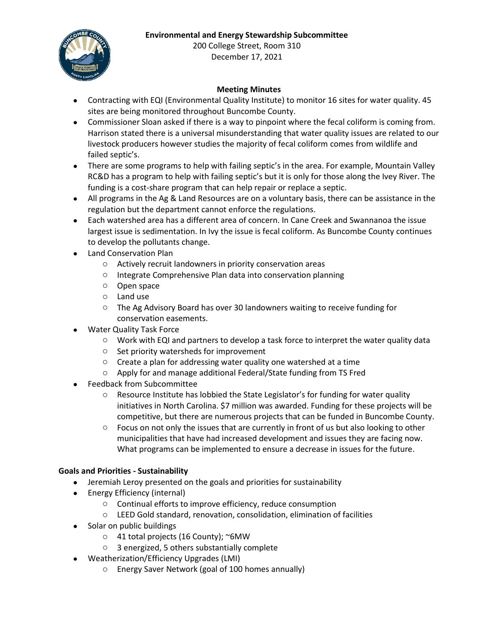# **Environmental and Energy Stewardship Subcommittee**



200 College Street, Room 310 December 17, 2021

# **Meeting Minutes**

- Contracting with EQI (Environmental Quality Institute) to monitor 16 sites for water quality. 45 sites are being monitored throughout Buncombe County.
- Commissioner Sloan asked if there is a way to pinpoint where the fecal coliform is coming from. Harrison stated there is a universal misunderstanding that water quality issues are related to our livestock producers however studies the majority of fecal coliform comes from wildlife and failed septic's.
- There are some programs to help with failing septic's in the area. For example, Mountain Valley RC&D has a program to help with failing septic's but it is only for those along the Ivey River. The funding is a cost-share program that can help repair or replace a septic.
- All programs in the Ag & Land Resources are on a voluntary basis, there can be assistance in the regulation but the department cannot enforce the regulations.
- Each watershed area has a different area of concern. In Cane Creek and Swannanoa the issue largest issue is sedimentation. In Ivy the issue is fecal coliform. As Buncombe County continues to develop the pollutants change.
- Land Conservation Plan
	- o Actively recruit landowners in priority conservation areas
	- o Integrate Comprehensive Plan data into conservation planning
	- o Open space
	- o Land use
	- o The Ag Advisory Board has over 30 landowners waiting to receive funding for conservation easements.
- Water Quality Task Force
	- $\circ$  Work with EQI and partners to develop a task force to interpret the water quality data
	- o Set priority watersheds for improvement
	- o Create a plan for addressing water quality one watershed at a time
	- o Apply for and manage additional Federal/State funding from TS Fred
- Feedback from Subcommittee
	- o Resource Institute has lobbied the State Legislator's for funding for water quality initiatives in North Carolina. \$7 million was awarded. Funding for these projects will be competitive, but there are numerous projects that can be funded in Buncombe County.
	- $\circ$  Focus on not only the issues that are currently in front of us but also looking to other municipalities that have had increased development and issues they are facing now. What programs can be implemented to ensure a decrease in issues for the future.

## **Goals and Priorities - Sustainability**

- Jeremiah Leroy presented on the goals and priorities for sustainability
- Energy Efficiency (internal)
	- o Continual efforts to improve efficiency, reduce consumption
	- o LEED Gold standard, renovation, consolidation, elimination of facilities
- Solar on public buildings
	- o 41 total projects (16 County); ~6MW
	- o 3 energized, 5 others substantially complete
- Weatherization/Efficiency Upgrades (LMI)
	- o Energy Saver Network (goal of 100 homes annually)